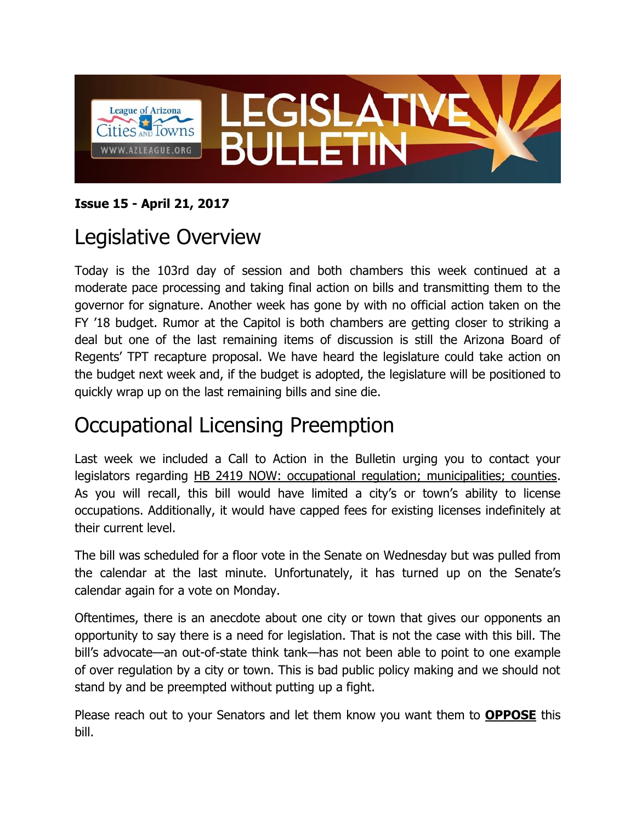

#### **Issue 15 - April 21, 2017**

## Legislative Overview

Today is the 103rd day of session and both chambers this week continued at a moderate pace processing and taking final action on bills and transmitting them to the governor for signature. Another week has gone by with no official action taken on the FY '18 budget. Rumor at the Capitol is both chambers are getting closer to striking a deal but one of the last remaining items of discussion is still the Arizona Board of Regents' TPT recapture proposal. We have heard the legislature could take action on the budget next week and, if the budget is adopted, the legislature will be positioned to quickly wrap up on the last remaining bills and sine die.

### Occupational Licensing Preemption

Last week we included a Call to Action in the Bulletin urging you to contact your legislators regarding HB 2419 NOW: occupational regulation; municipalities; counties. As you will recall, this bill would have limited a city's or town's ability to license occupations. Additionally, it would have capped fees for existing licenses indefinitely at their current level.

The bill was scheduled for a floor vote in the Senate on Wednesday but was pulled from the calendar at the last minute. Unfortunately, it has turned up on the Senate's calendar again for a vote on Monday.

Oftentimes, there is an anecdote about one city or town that gives our opponents an opportunity to say there is a need for legislation. That is not the case with this bill. The bill's advocate—an out-of-state think tank—has not been able to point to one example of over regulation by a city or town. This is bad public policy making and we should not stand by and be preempted without putting up a fight.

Please reach out to your Senators and let them know you want them to **OPPOSE** this bill.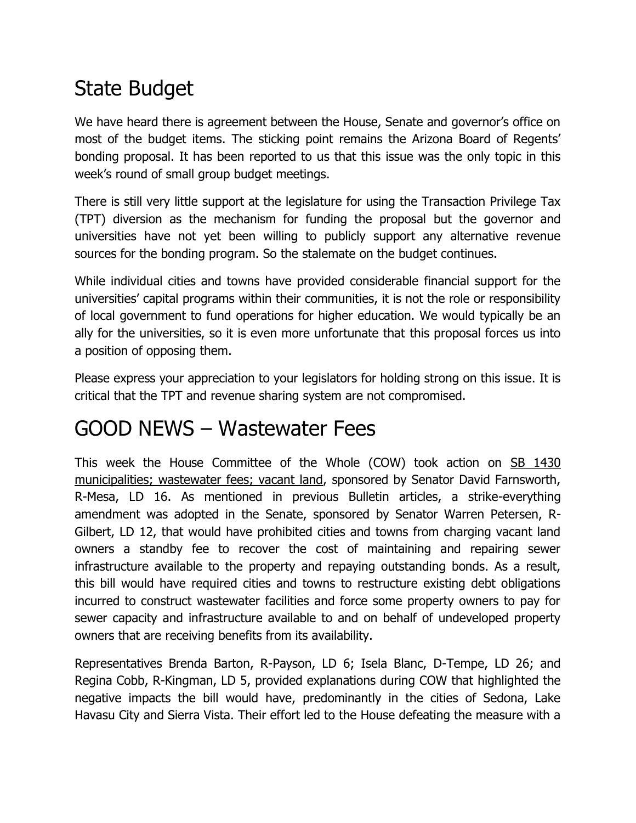# State Budget

We have heard there is agreement between the House, Senate and governor's office on most of the budget items. The sticking point remains the Arizona Board of Regents' bonding proposal. It has been reported to us that this issue was the only topic in this week's round of small group budget meetings.

There is still very little support at the legislature for using the Transaction Privilege Tax (TPT) diversion as the mechanism for funding the proposal but the governor and universities have not yet been willing to publicly support any alternative revenue sources for the bonding program. So the stalemate on the budget continues.

While individual cities and towns have provided considerable financial support for the universities' capital programs within their communities, it is not the role or responsibility of local government to fund operations for higher education. We would typically be an ally for the universities, so it is even more unfortunate that this proposal forces us into a position of opposing them.

Please express your appreciation to your legislators for holding strong on this issue. It is critical that the TPT and revenue sharing system are not compromised.

#### GOOD NEWS – Wastewater Fees

This week the House Committee of the Whole (COW) took action on SB 1430 municipalities; wastewater fees; vacant land, sponsored by Senator David Farnsworth, R-Mesa, LD 16. As mentioned in previous Bulletin articles, a strike-everything amendment was adopted in the Senate, sponsored by Senator Warren Petersen, R-Gilbert, LD 12, that would have prohibited cities and towns from charging vacant land owners a standby fee to recover the cost of maintaining and repairing sewer infrastructure available to the property and repaying outstanding bonds. As a result, this bill would have required cities and towns to restructure existing debt obligations incurred to construct wastewater facilities and force some property owners to pay for sewer capacity and infrastructure available to and on behalf of undeveloped property owners that are receiving benefits from its availability.

Representatives Brenda Barton, R-Payson, LD 6; Isela Blanc, D-Tempe, LD 26; and Regina Cobb, R-Kingman, LD 5, provided explanations during COW that highlighted the negative impacts the bill would have, predominantly in the cities of Sedona, Lake Havasu City and Sierra Vista. Their effort led to the House defeating the measure with a